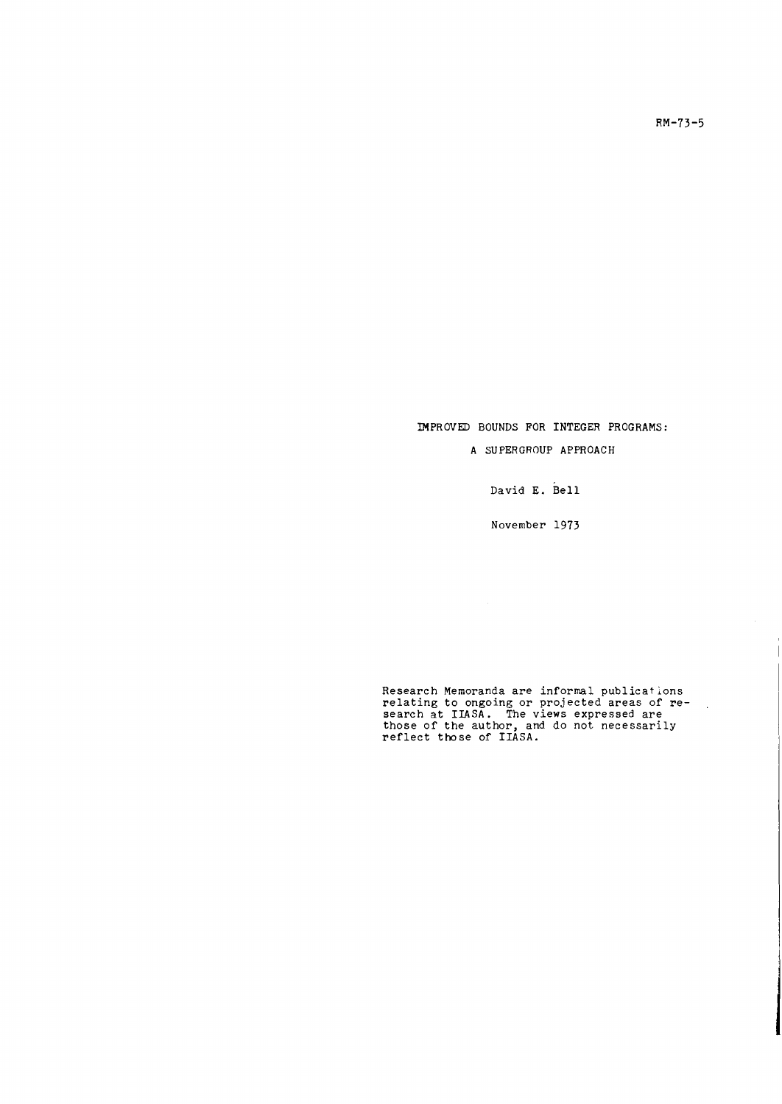$RM-73-5$ 

 $\mathcal{L}_{\mathcal{A}}$ 

# IMPROVED BOUNDS FOR INTEGER PROGRAMS:

A SUPERGROUP APPROACH

David E. Bell

November 1973

Research Memoranda are informal publicat ions relating to ongoing or projected areas of research at IIASA. The views expressed are those of the author, and do not necessarily reflect those of IIASA.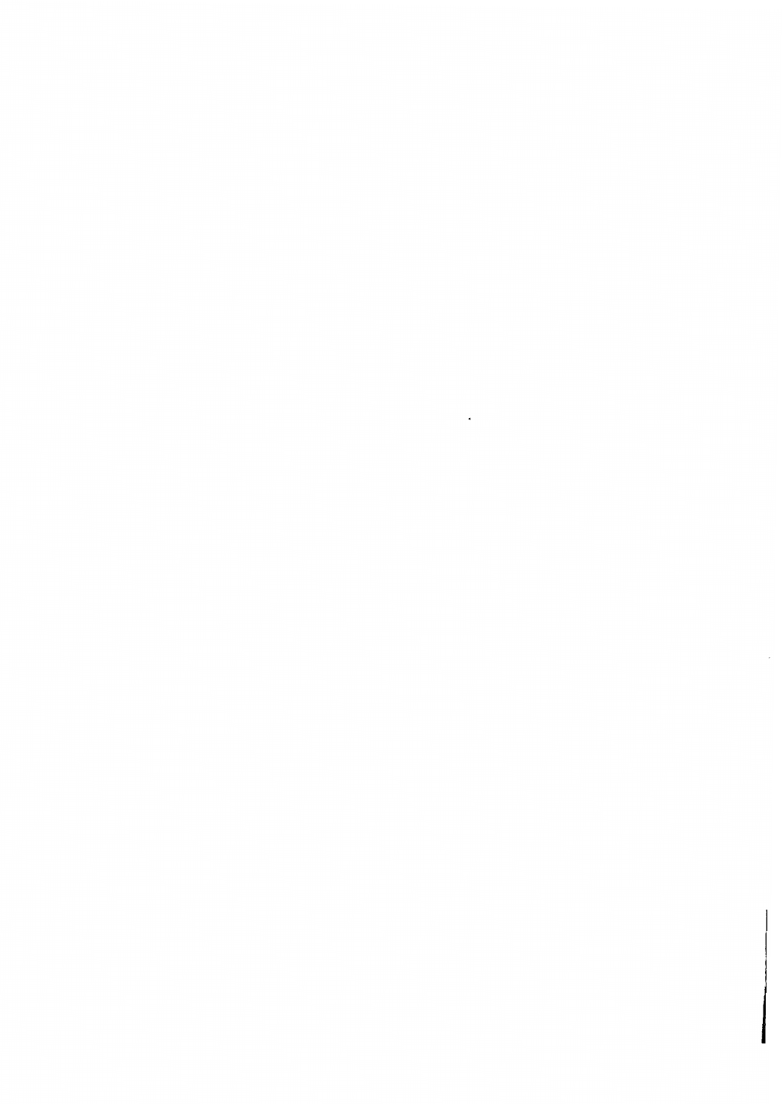$\label{eq:2.1} \frac{1}{2} \int_{\mathbb{R}^3} \frac{1}{\sqrt{2}} \, \mathrm{d} x \, \mathrm{d} x \, \mathrm{d} x \, \mathrm{d} x \, \mathrm{d} x \, \mathrm{d} x \, \mathrm{d} x \, \mathrm{d} x \, \mathrm{d} x \, \mathrm{d} x \, \mathrm{d} x \, \mathrm{d} x \, \mathrm{d} x \, \mathrm{d} x \, \mathrm{d} x \, \mathrm{d} x \, \mathrm{d} x \, \mathrm{d} x \, \mathrm{d} x \, \mathrm{d} x \, \mathrm{d} x \, \mathrm{d} x \, \mathrm{d$  $\sim$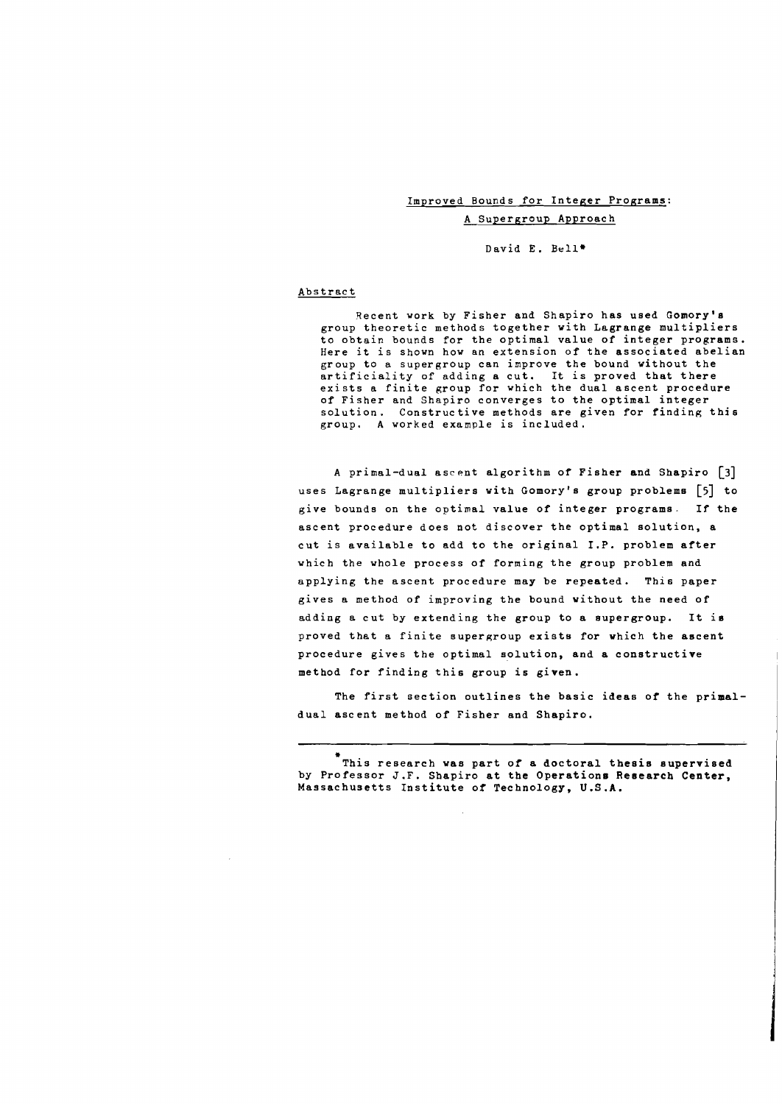## Improved Bounds for Integer Programs: A Supergroup Approach

David E. Bell\*

#### Abstract

Recent work by Fisher and Shapiro has used Gomory's group theoretic methods together vith Lagrange multipliers to obtain bounds for the optimal value of integer programs. Here it is shown how an extension of the associated abelian group to a supergroup can improve the bound vithout the artificiality of adding a cut. It is proved that there exists a finite group for which the dual ascent procedure of Fisher and Shapiro converges to the optimal integer solution. Constructive methods are given for finding this group. **A** worked example is included.

A primal-dual ascent algorithm of Fisher and Shapiro **[3]**  uses Lagrange multipliers vith Gomory' s group problems **[5]** to give bounds on the optimal value of integer programs. If the ascent procedure does not discover the optimal solution, a cut is available to add to the original I.P. problem after which the whole process of forming the group problem and applying the ascent procedure may be repeated. This paper gives a method of improving the bound without the need of adding a cut by extending the group to a supergroup. It is proved that a finite supergroup exists for which the ascent procedure gives the optimal solution, and a constructive method for finding this group is given.

The first section outlines the basic ideas of the primaldual ascent method of Fisher and Shapiro.

This research was part of a doctoral thesis supervised by Professor J.F. Shapiro at the Operations Research Center, Massachusetts Institute of Technology, **U.S .A.**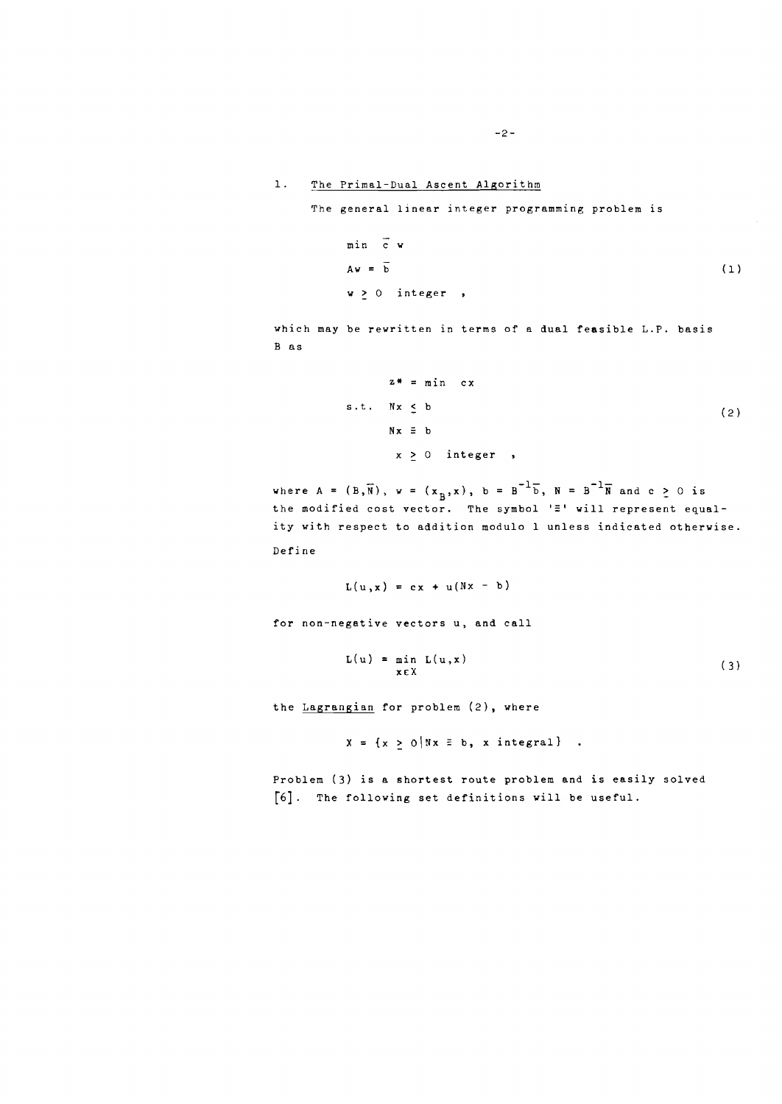# 1. The Primal-Dual Ascent Algorithm

The general linear integer programming problem is

min 
$$
\overline{c}
$$
 w  
\n $Aw = \overline{b}$  (1)  
\n $w \ge 0$  integer,

which may be rewritten in terms of a dual feasible L.P. basis B as

$$
z* = \min c x
$$
  
s.t.  $Nx \leq b$   
 $Nx \equiv b$   
 $x \geq 0$  integer , (2)

where  $A = (B,\overline{N})$ ,  $w = (x_{B},x)$ ,  $b = B^{-1}\overline{b}$ ,  $N = B^{-1}\overline{N}$  and  $c \ge 0$  is the modified cost vector. The symbol **'Z'** will represent equality with respect to addition modulo 1 unless indicated othervise. Define

 $L(u, x) = cx + u(Nx - b)$ 

for non-negative vectors u, and call

$$
L(u) = min L(u,x) \qquad (3)
$$

the Lagrangian for problem (2), where

 $X = \{x \ge 0 | \text{Nx} \equiv \text{b}, x \text{ integral} \}$ .

Problem (3) is a shortest route problem and is easily solved [6]. The following set definitions will be useful.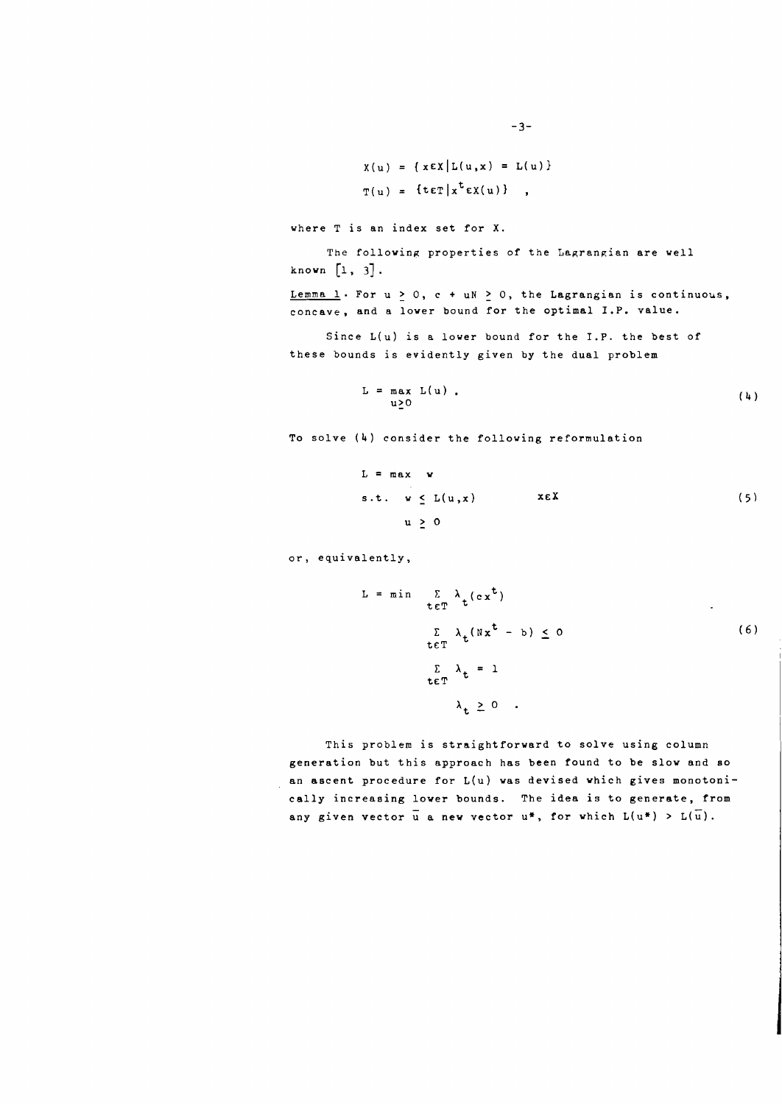$X(u) = {x \in X | L(u, x) = L(u)}$  $T(u) = \{teT | x^t \in X(u)\}$ ,

where T is an index set for **X.** 

The following properties of the Lagrangian are well known  $\begin{bmatrix} 1, 3 \end{bmatrix}$ .

Lemma 1. For  $u \ge 0$ , c + uN  $\ge 0$ , the Lagrangian is continuous, concave, and a lower bound for the optimal I.P. value.

Since L(u) is a lower bound for the **I.P.** the best of these bounds is evidently given by the dual problem

$$
L = max L(u) . \t\t (4)
$$

To solve (4) consider the following reformulation

$$
L = max \t w
$$
  
s.t.  $w \le L(u,x)$  xex (5)  
 $u \ge 0$ 

or, equivalently,

$$
L = \min \sum_{t \in T} \lambda_t (c x^t)
$$
  

$$
\sum_{t \in T} \lambda_t (N x^t - b) \le 0
$$
  

$$
\sum_{t \in T} \lambda_t = 1
$$
  

$$
\lambda_t \ge 0.
$$
 (6)

This problem is straightforward to solve using column generation but this approach has been found to be slow and so an ascent procedure for L(u) was devised which gives monotonically increasing lover bounds. The idea is to generate, from<br>any given vector  $\bar{u}$  a nev vector u\*, for which  $L(u*) > L(\bar{u})$ .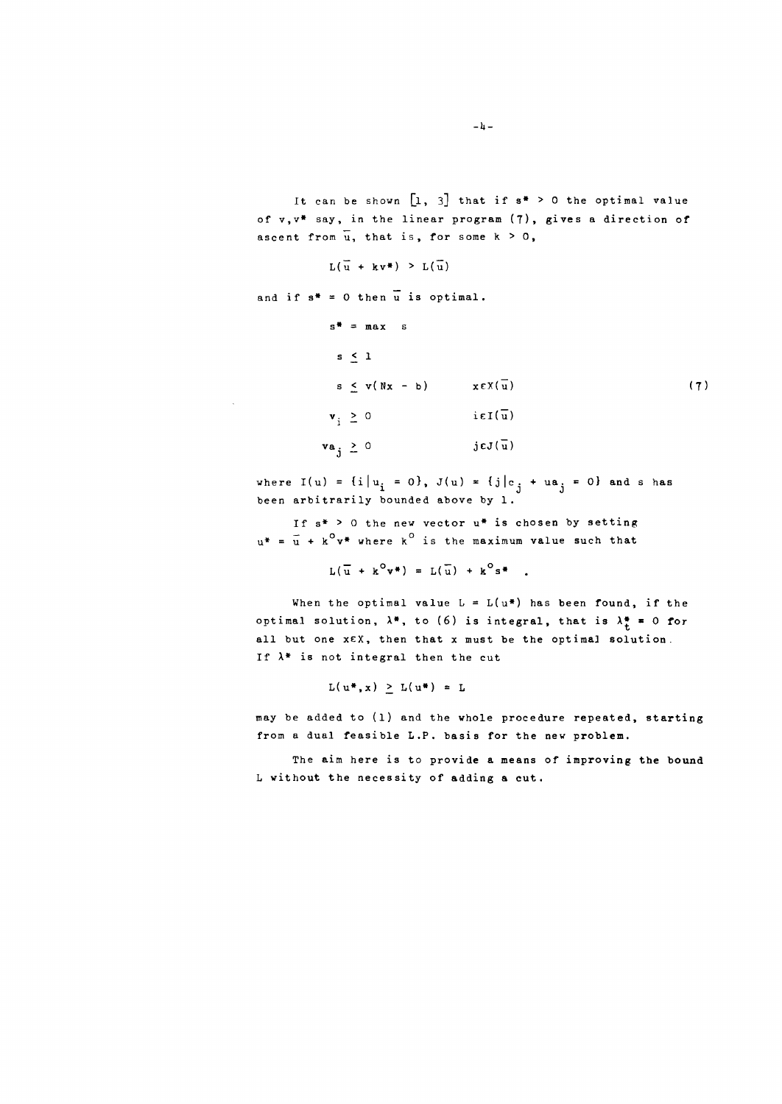It can be shown  $\begin{bmatrix} 1 \\ 3 \end{bmatrix}$  that if  $s^*$  > 0 the optimal value of v,  $v^*$  say, in the linear program (7), gives a direction of ascent from  $\overline{u}$ , that is, for some k > 0,

$$
L(\bar{u} + kv^*) > L(\bar{u})
$$

and if  $s^* = 0$  then  $\overline{u}$  is optimal.

 $s^*$  = max s  $s \leq 1$  $s \leq v(Nx - b)$   $x \in X(\overline{u})$  $(7)$  $\mathbf{v}_i \geq 0$  $i \epsilon I(\overline{u})$  $va_j \geq 0$  $j\epsilon J(\bar{u})$ 

where I(u) = {i|u<sub>i</sub> = 0}, J(u) = {j|c<sub>j</sub> + ua<sub>j</sub> = 0} and s has<br>been arbitrarily bounded above by 1.

If  $s^*$  > 0 the new vector  $u^*$  is chosen by setting  $u^* = \bar{u} + k^0 v^*$  where  $k^0$  is the maximum value such that

 $L(\bar{u} + k^0 v^*) = L(\bar{u}) + k^0 s^*$ .

When the optimal value  $L = L(u^*)$  has been found, if the optimal solution,  $\lambda^*$ , to (6) is integral, that is  $\lambda_t^* = 0$  for all but one xEX, then that x must be the optimal solution. If  $\lambda^*$  is not integral then the cut

 $L(u^*, x) \geq L(u^*) = L$ 

may be added to (1) and the whole procedure repeated, starting from a dual feasible L.P. basis for the new problem.

The aim here is to provide a means of improving the bound L vithout the necessity of adding a cut.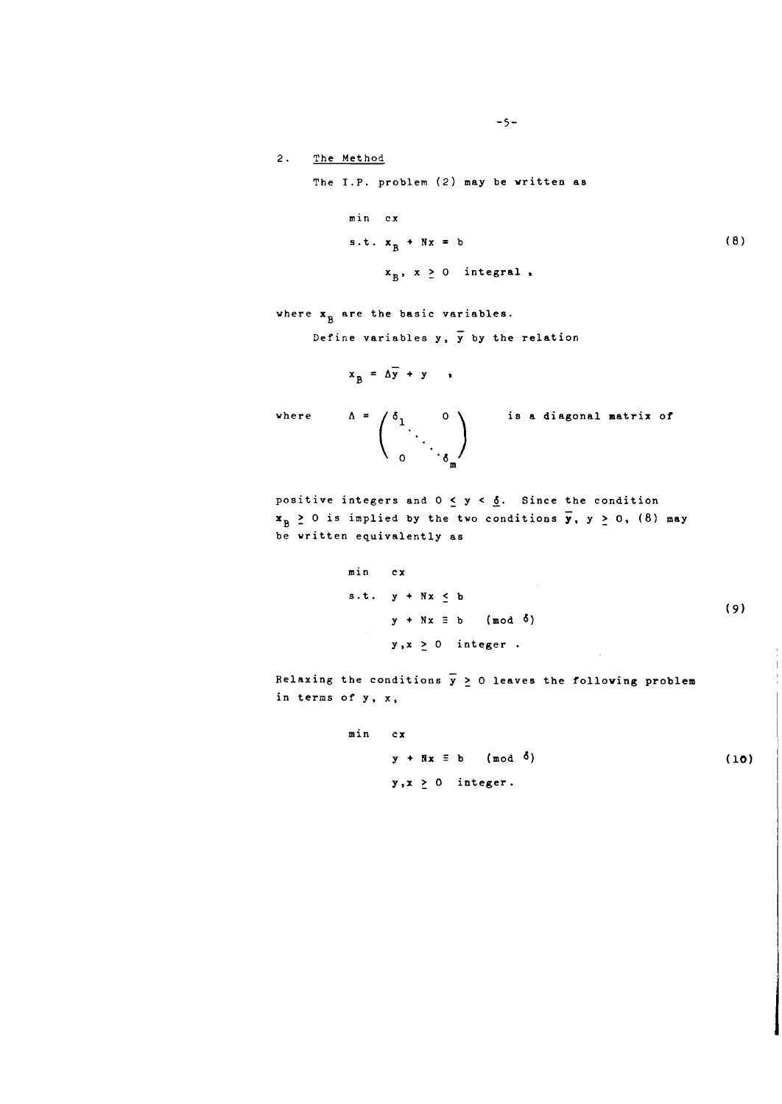$-5-$ 

**2.** The Method

The I.P. problem **(2)** may be written as

min cx  
s.t. 
$$
x_B + Nx = b
$$
 (8)  
 $x_B, x \ge 0$  integral,

where  $x_B$  are the basic variables.

Define variables y,  $\overline{y}$  by the relation

 $x_B = \Delta \overline{y} + y$ 

 $\Lambda = \begin{pmatrix} \delta_1 & \cdots & \cdots \\ \vdots & \ddots & \vdots \\ 0 & \cdots & \delta_m \end{pmatrix}$ where

is a diagonal matrix of

positive integers and **0** < y < *6.* Since the condition  $x_B \ge 0$  is implied by the two conditions  $\bar{y}$ ,  $y \ge 0$ , (8) may be written equivalently as

min cx  
s.t. 
$$
y + Nx \le b
$$
  
 $y + Nx \equiv b \pmod{6}$   
 $y, x \ge 0$  integer.

Relaxing the conditions  $\bar{y} \ge 0$  leaves the following problem in terms of y, x,

min cx  
\n
$$
y + Nx \equiv b \pmod{6}
$$
 (10)  
\n $y, x \ge 0$  integer.

 $(9)$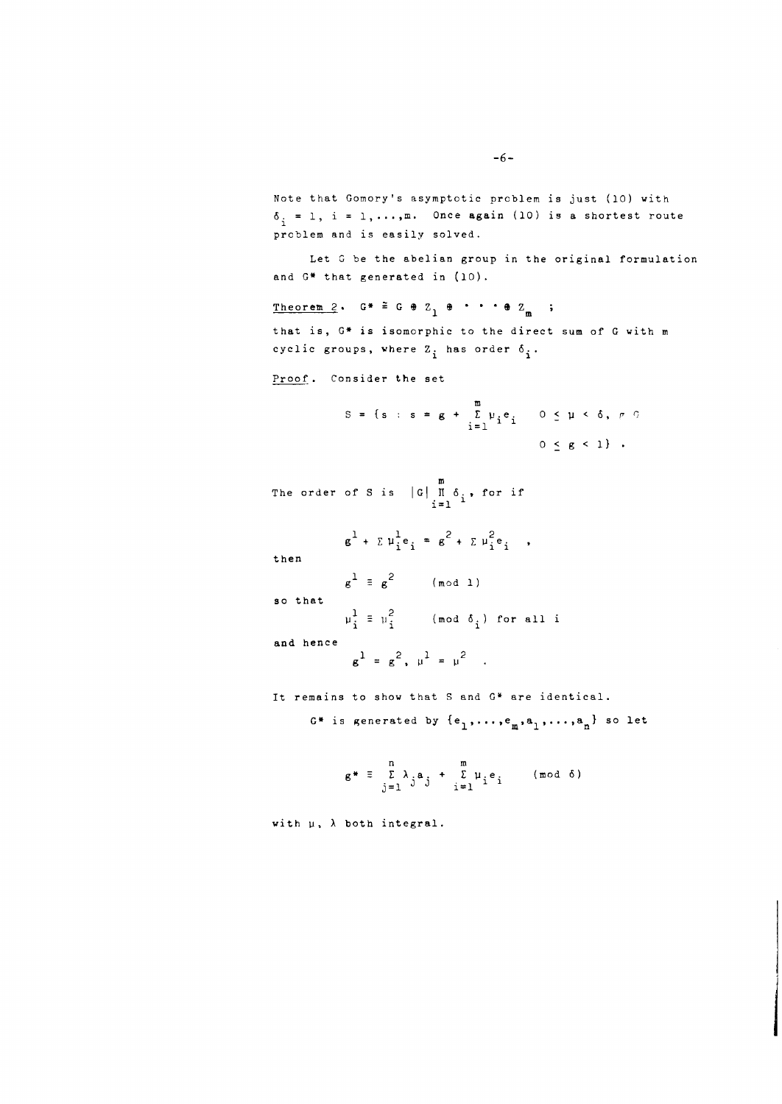Note that Comory's asymptotic problem is just (10) with  $\delta_i = 1$ , i = 1,...,m. Once again (10) is a shortest route problem and is easily solved.

Let G be the abelian group in the original formulation and C\* that generated in (10).

Theorem 2.  $G^* \tilde{=} G \oplus Z_1 \oplus \cdots \oplus Z_m$ ;

that is, C\* is isomorphic to the direct sum of G with **<sup>m</sup>** cyclic groups, where  $2_i$  has order  $\delta_i$ .

Proof. Consider the set

$$
S = \{s : s = g + \sum_{i=1}^{m} \mu_i e_i \quad 0 \leq \mu < \delta, \rho \in \mathbb{R} \}
$$
\n
$$
0 \leq g < 1 \} .
$$

The order of S is  $|G| \prod_{i=1}^m \delta_i$ , for if

$$
g^{1} + \sum \mu_{i}^{1} e_{i} = g^{2} + \sum \mu_{i}^{2} e_{i} ,
$$
  
then  

$$
g^{1} \equiv g^{2} \qquad (\text{mod } 1)
$$

so that

$$
\mu_i^1 \equiv \mu_i^2 \qquad \text{(mod } \delta_i \text{) for all } i
$$

and hence

$$
g^1 = g^2
$$
,  $\mu^1 = \mu^2$ .

It remains to show that S and C\* are identical.

 $G^*$  is generated by  $\{e_1,\ldots,e_m,a_1,\ldots,a_n\}$  so let

$$
g^* \equiv \sum_{j=1}^n \lambda_j a_j + \sum_{i=1}^m \mu_i e_i \pmod{\delta}
$$

with  $\mu$ ,  $\lambda$  both integral.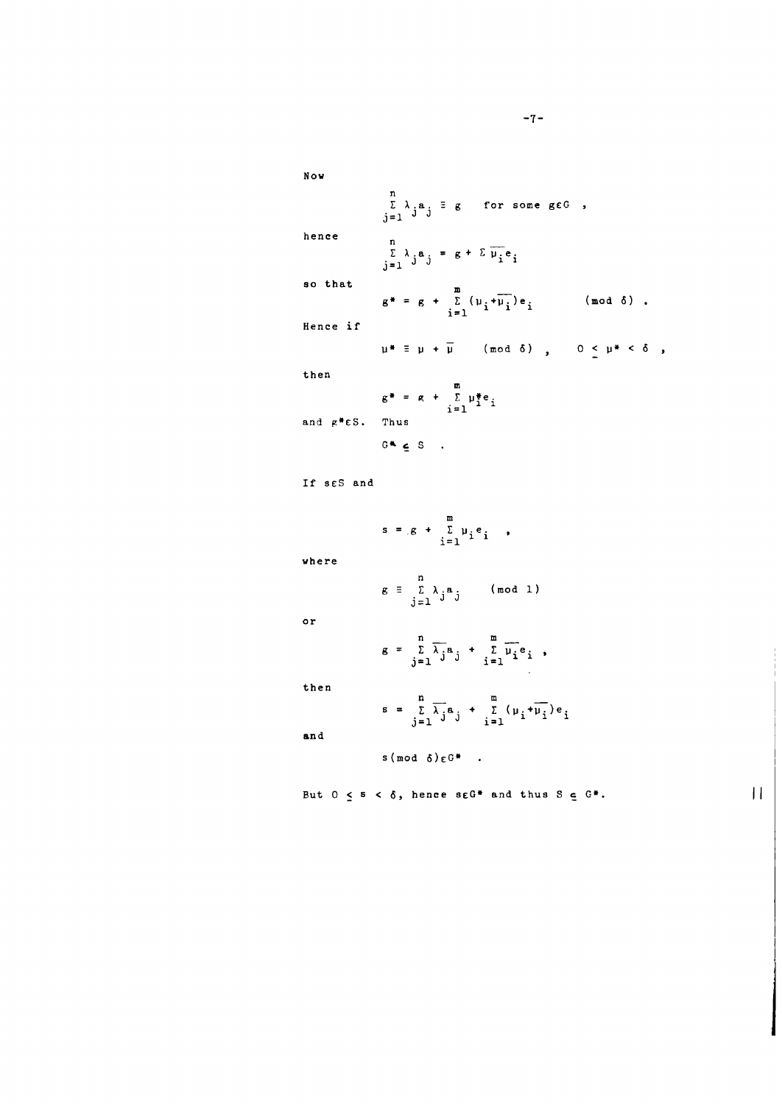$$
\texttt{Now}
$$

$$
\sum_{j=1}^{n} \lambda_{j} a_{j} \equiv g \quad \text{for some } g \in G \text{ ,}
$$
\nhence\n
$$
\sum_{j=1}^{n} \lambda_{j} a_{j} = g + \sum \overline{\mu_{i}} e_{i}
$$
\nso that\n
$$
g^* = g + \sum_{i=1}^{m} (\mu_{i} + \overline{\mu_{i}}) e_{i} \qquad (\text{mod } \delta) .
$$
\nHence if\n
$$
\mu^* \equiv \mu + \overline{\mu} \qquad (\text{mod } \delta) , \qquad 0 \leq \mu^* < \delta ,
$$

then

$$
g^* = g + \sum_{i=1}^m \mu_i^* e_i
$$
  
and  $g^* \in S$ . Thus

 $G^* \subseteq S$  .

If seS and

 $s = g + \sum_{i=1}^{m} \mu_i e_i$ ,

where

 $\mathbf{or}$ 

then

and  $\overline{a}$ 

$$
g \equiv \sum_{j=1}^{n} \lambda_j a_j \qquad (\text{mod } 1)
$$

$$
g = \sum_{j=1}^{n} \overline{\lambda}_{j} a_{j} + \sum_{i=1}^{m} \overline{\mu}_{i} e_{i} ,
$$

$$
s = \sum_{j=1}^{n} \overline{\lambda_j} a_j + \sum_{i=1}^{n} (\mu_i + \overline{\mu_i}) e_i
$$

 $s \pmod{\delta} \varepsilon$ <sup>#</sup>.

But  $0 \le s \le \delta$ , hence seG<sup>\*</sup> and thus S  $\in$  G<sup>\*</sup>.

 $\bar{\Pi}$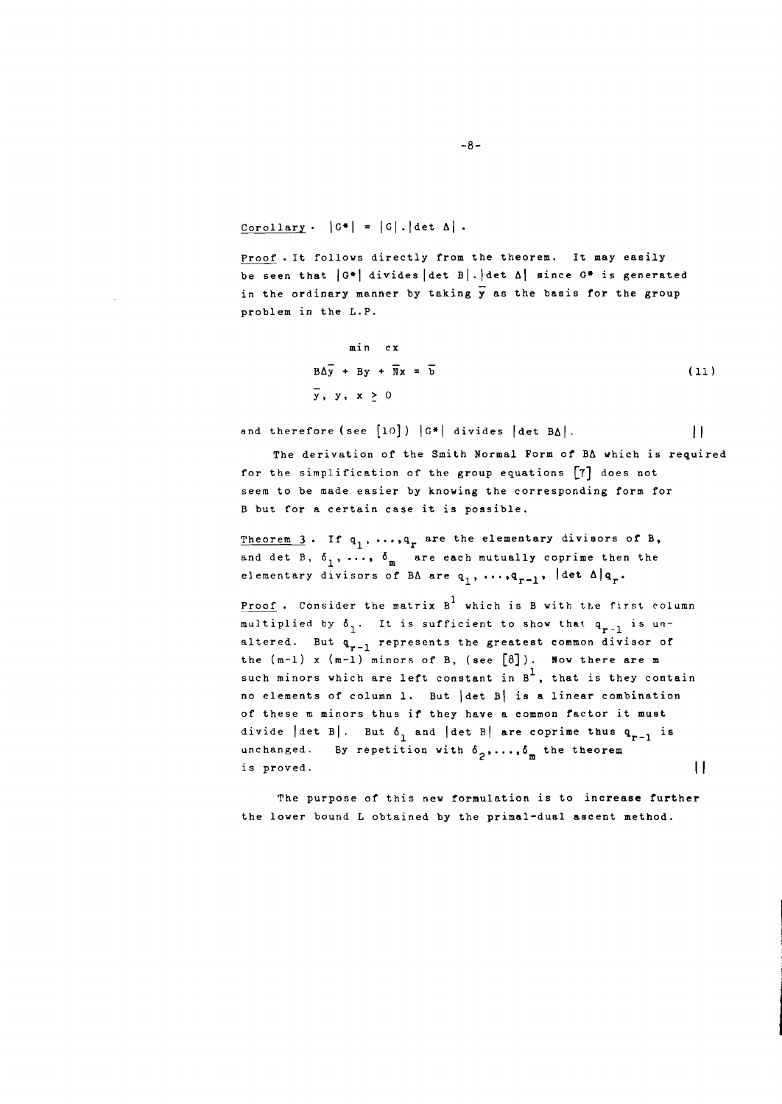Corollary.  $|G^*| = |G|$ . det  $\Delta$ .

Proof. It follows directly from the theorem. It may easily be seen that  $|G^*|$  divides det B. det  $\Delta$  since  $G^*$  is generated in the ordinary manner by taking  $\bar{y}$  as the basis for the group problem in the L.P.

$$
\min \ c x
$$
  
\n
$$
B\Delta \overline{y} + By + \overline{N}x = \overline{b}
$$
  
\n
$$
\overline{y}, y, x \ge 0
$$
 (11)

and therefore (see  $[10]$ )  $|G^*|$  divides  $|det B\Delta|$ . ||

The derivation of the Smith Normal Form of BA which is required for the simplification of the group equations **[7]** does not seem to be made easier by knowing the corresponding form for B but for a certain case it is possible.

Theorem  $3$ . If  $q_1, ..., q_r$  are the elementary divisors of B, and det B,  $\delta_1$ , ...,  $\delta_m$  are each mutually coprime then the elementary divisors of BA are  $q_1, \ldots, q_{r-1}$ , det Alq<sub>r</sub>.

Proof. Consider the matrix  $B^1$  which is B with the first column multiplied by  $\delta_1$ . It is sufficient to show that  $q_{\mathbf{r}-1}$  is unaltered. But  $q_{r-1}$  represents the greatest common divisor of the (m-1) **x** (m-1) minors of B, (see [8] ). Nov there are m such minors which are left constant in  $B^1$ , that is they contain no elements of column 1. But det B is a linear combination of these m minors thus if they have a common factor it must divide  $|\det B|$ . But  $\delta_1$  and  $|\det B|$  are coprime thus  $q_{r-1}$  is unchanged. By repetition with  $\delta_2, \ldots, \delta_m$  the theorem is proved.

The purpose of this nev formulation is to increase further the lover bound L obtained by the primal-dual ascent method.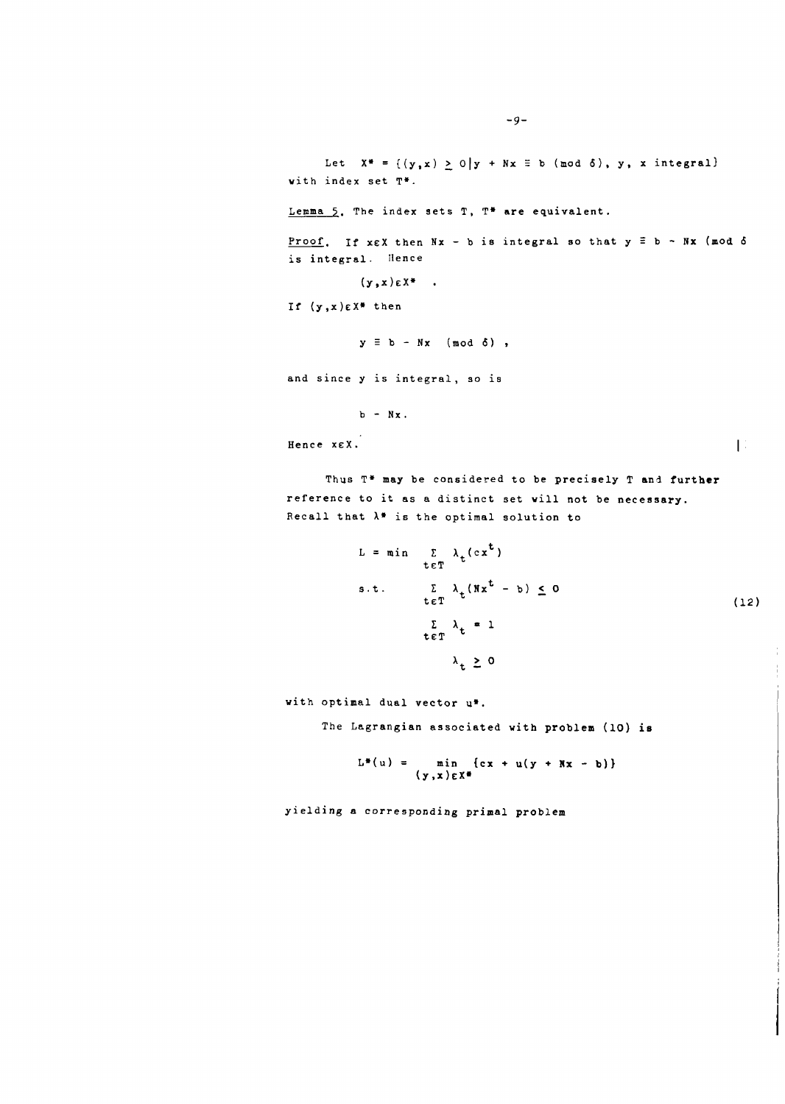Let  $X^* = \{(y,x) \ge 0 | y + Nx \equiv b \pmod{\delta}, y, x \text{ integral}\}\$ vith index set T\*.

Lemma  $5$ . The index sets T, T\* are equivalent.

Proof. If xeX then  $Nx - b$  is integral so that  $y \equiv b - Nx$  (mod  $\delta$ is integral. Hence

 $(y, x) \in X^*$  .

**If** (y,x)€x4 then

 $y \equiv b - Nx \pmod{\delta}$ ,

and since y is integral, so is

 $b - Nx$ .

Hence XEX.

 $\mathbb{R}^2$ 

 $(12)$ 

Thus T\* may be considered to be precisely T and further reference to it as a distinct set vill not be necessary. Recall that **A\*** is the optimal solution to

> $\sum_{t \in T} \lambda_t (N x^t - b) \leq 0$  $s.t.$  $\sum_{t \in T} \lambda_t = 1$  $\lambda_{+} \geq 0$

with optimal dual vector u\*.

The Lagrangian associated with problem (10) is

 $L^*(u) = \min \{cx + u(y + Nx - b)\}\$  $(y,x)\epsilon X^*$ 

yielding a corresponding primal problem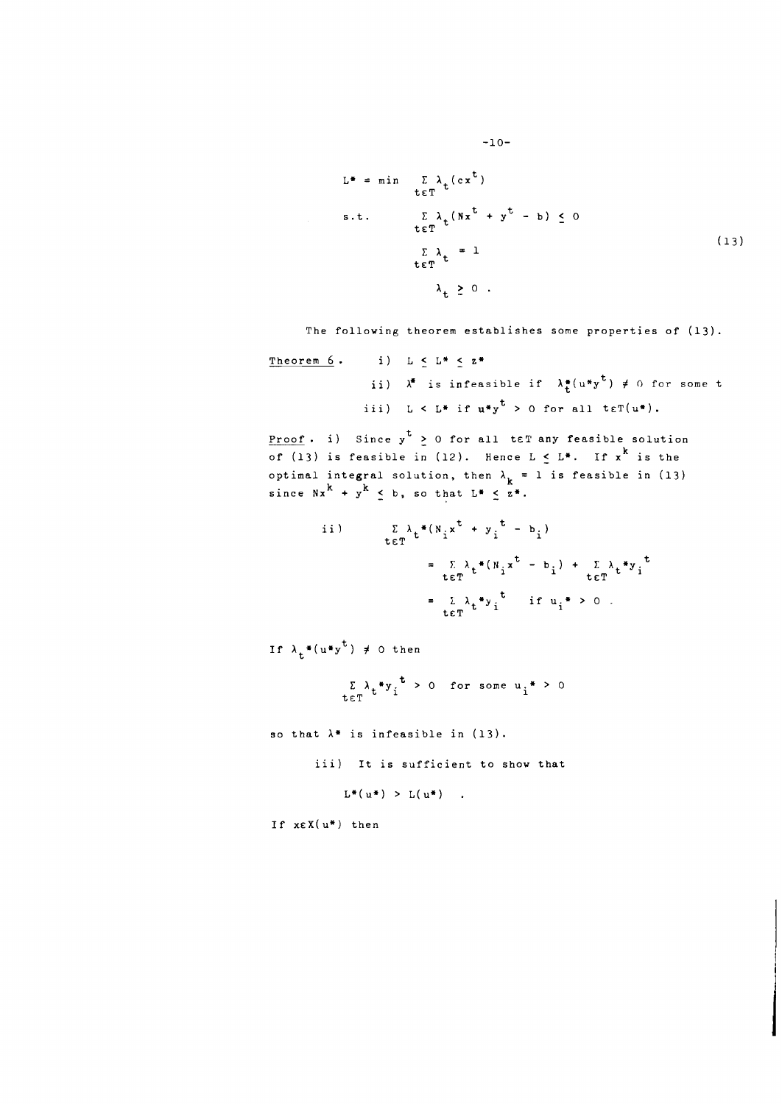$$
L^* = \min \sum_{t \in T} \lambda_t (c x^t)
$$
  
s.t. 
$$
\sum_{t \in T} \lambda_t (N x^t + y^t - b) \le 0
$$
  

$$
\sum_{t \in T} \lambda_t = 1
$$
  

$$
\lambda_t \ge 0.
$$
 (13)

The following theorem establishes some properties of (13).

Theorem 6.  
\ni) 
$$
L \le L^* \le z^*
$$
  
\nii)  $\lambda^*$  is infeasible if  $\lambda^*_t(u^*y^t) \neq 0$  for some t  
\niii)  $L < L^*$  if  $u^*y^t > 0$  for all  $t \in T(u^*)$ .

 $\frac{\text{Proof}}{\text{1}}$ . i) Since  $y^t \geq 0$  for all teT any feasible solution of (13) is feasible in (12). Hence  $L \leq L^*$ . If  $x^K$  is the optimal integral solution, then  $\lambda_k = 1$  is feasible in (13) since  $Nx^{k} + y^{k} \leq b$ , so that  $L^{*} \leq \hat{z}^{*}$ .

ii) 
$$
\sum_{t \in T} \lambda_t * (N_i x^t + y_i^t - b_i)
$$

$$
= \sum_{t \in T} \lambda_t * (N_i x^t - b_i) + \sum_{t \in T} \lambda_t * y_i^t
$$

$$
= \sum_{t \in T} \lambda_t * y_i^t \quad \text{if } u_i * > 0.
$$

If  $\lambda_t^{\bullet(u*y^t)} \neq 0$  then

$$
\sum_{t \in T} \lambda_t * y_i^t > 0 \quad \text{for some } u_i^* > 0
$$

so that  $\lambda^*$  is infeasible in (13).

iii) It is sufficient to show that

 $L^*(u^*) > L(u^*)$ .

If XEX( u\*) then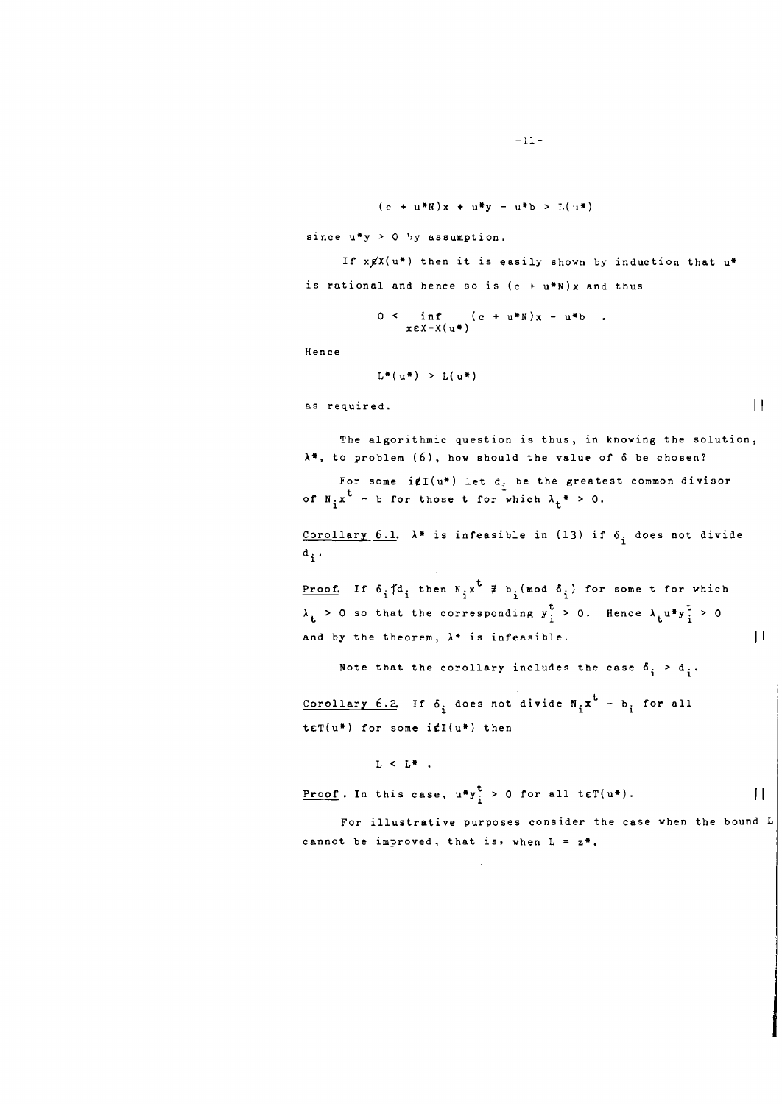$$
(c + u^*N)x + u^*y - u^*b > L(u^*)
$$

since  $u*y > 0$  by assumption.

If  $x \notin X(u^*)$  then it is easily shown by induction that  $u^*$ is rational and hence so is  $(c + u * N)x$  and thus

$$
0 \leq \inf_{x \in X - X(u^*)} (c + u^*)x - u^*b.
$$

Hence

$$
L^*(u^*) > L(u^*)
$$

as required.  $| \cdot |$ 

The algorithmic question is thus, in knoving the solution,  $\lambda^*$ , to problem (6), how should the value of  $\delta$  be chosen?

For some igI(u\*) let  $d_i$  be the greatest common divisor of  $N_i x^t$  - b for those t for which  $\lambda_t$ <sup>\*</sup> > 0.

Corollary  $6.1$ .  $\lambda^*$  is infeasible in (13) if  $\delta$ <sub>;</sub> does not divide  $d_i$ .

Proof. If  $\delta_i/\mathfrak{a}_i$  then  $N_i x^t \not\equiv b_i \pmod{\delta_i}$  for some t for which  $\lambda_t$  > 0 so that the corresponding  $y_i^t$  > 0. Hence  $\lambda_t u^* y_i^t$  > 0 and by the theorem,  $\lambda^*$  is infeasible.  $|$ 

Note that the corollary includes the case  $\delta_i > d_i$ .

Corollary 6.2. If  $\delta_i$  does not divide  $N_i x^t - b_i$  for all  $t \in T(u^*)$  for some igil(u\*) then

$$
L \leq L^* \quad .
$$

 $Proof$ . In this case,  $u^*y_j^t > 0$  for all teT(u\*).</u>

For illustrative purposes consider the case when the bound L cannot be improved, that is, when  $L = z^*$ .

 $\mathbf{H}$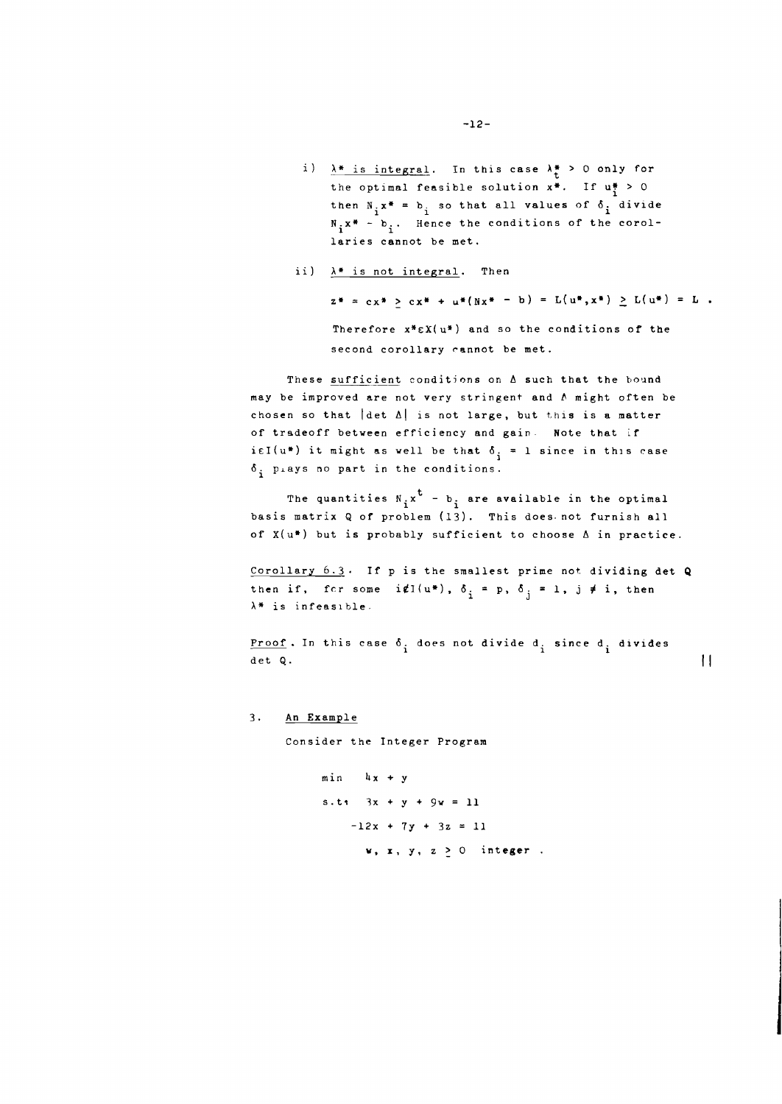- i)  $\lambda^*$  is integral. In this case  $\lambda_t^* > 0$  only for the optimal feasible solution  $x^*$ . If  $u_i^* > 0$ then  $N_i x^* = b_i$  so that all values of  $\delta_i$  divide  $N_i x^* - b_i$ . Hence the conditions of the corollaries cannot be met.
- ii)  $\lambda^*$  is not integral. Then

 $z^* = cx^* > cx^* + u^*(Nx^* - b) = L(u^*,x^*) \ge L(u^*) = L$ . Therefore  $x*_{\text{EX}}(u*)$  and so the conditions of the second corollary cannot be met.

These sufficient conditions on  $\Delta$  such that the bound may be improved are not very stringent and **b** might often be chosen so that ldet **A(** is not large, but **this** is a matter of trsdeoff between efficiency and gain. Note that if ieI(u\*) it might as well be that  $\delta_i = 1$  since in this case  $\delta$ ; piays no part in the conditions.

The quantities  $N_i x^t - b_i$  are available in the optimal basis matrix Q of problem (13). This does- not furnish all of  $X(u^*)$  but is probably sufficient to choose  $\Delta$  in practice.

Corollary 6.3. If p is the smallest prime not dividing det **Q**  then if, for some  $i \notin I(u^*)$ ,  $\delta_i = p$ ,  $\delta_j = 1$ ,  $j \neq i$ , then  $\lambda^*$  is infeasible.

Proof. In this case  $\delta_i$  does not divide d. since d. divides  $\det Q$ .

### 3. An Example

Consider the Integer Program

min *hx* + y  $s.t: 3x + y + 9w = 11$ -12X + **7y** + 32 = 11 **v, I,** y, z > 0 integer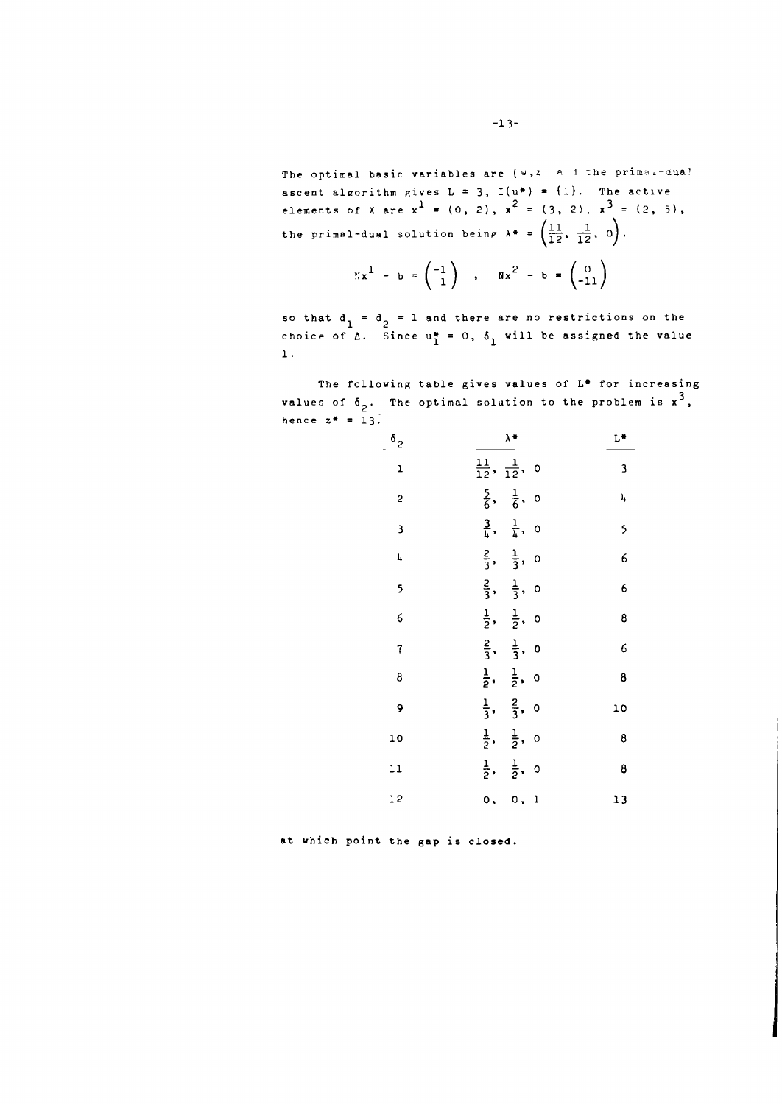The optimal basic variables are (w,z' a i the primal-dual ascent algorithm gives  $L = 3$ ,  $I(u^*) = \{1\}$ . The active<br>elements of X are  $x^1 = (0, 2)$ ,  $x^2 = (3, 2)$ ,  $x^3 = (2, 5)$ ,

the primal-dual solution being  $\lambda^* = \left(\frac{11}{12}, \frac{1}{12}, 0\right)$ .

$$
Nx1 - b = \begin{pmatrix} -1 \\ 1 \end{pmatrix} , Nx2 - b = \begin{pmatrix} 0 \\ -11 \end{pmatrix}
$$

so that  $d_1 = d_2 = 1$  and there are no restrictions on the choice of  $\Delta$ . Since  $u_1^* = 0$ ,  $\delta_1$  will be assigned the value  $\mathbf{1}$ .

The following table gives values of L<sup>\*</sup> for increasing values of  $\delta_2$ . The optimal solution to the problem is  $x^3$ ,<br>hence  $z^* = 13$ .

| $\delta_2$              | λ*                                   | Ŀ* |
|-------------------------|--------------------------------------|----|
| ı                       | $\frac{11}{12}$ , $\frac{1}{12}$ , 0 | 3  |
| $\overline{\mathbf{c}}$ | $\frac{5}{6}$ , $\frac{1}{6}$ , 0    | 4  |
| 3                       | $\frac{3}{4}$ , $\frac{1}{4}$ , 0    | 5  |
| 4                       | $\frac{2}{3}$ , $\frac{1}{3}$ , 0    | 6  |
| 5                       | $\frac{2}{3}$ , $\frac{1}{3}$ , 0    | 6  |
| 6                       | $\frac{1}{2}$ , $\frac{1}{2}$ , 0    | 8  |
| 7                       | $\frac{2}{3}$ , $\frac{1}{3}$ , 0    | 6  |
| 8                       | $\frac{1}{2}$ , $\frac{1}{2}$ , 0    | 8  |
| 9                       | $\frac{1}{3}$ , $\frac{2}{3}$ , 0    | 10 |
| 10                      | $\frac{1}{2}$ , $\frac{1}{2}$ , 0    | 8  |
| 11                      | $\frac{1}{2}$ , $\frac{1}{2}$ , 0    | 8  |
| 12                      | 0, 1<br>Ο,                           | 13 |

at which point the gap is closed.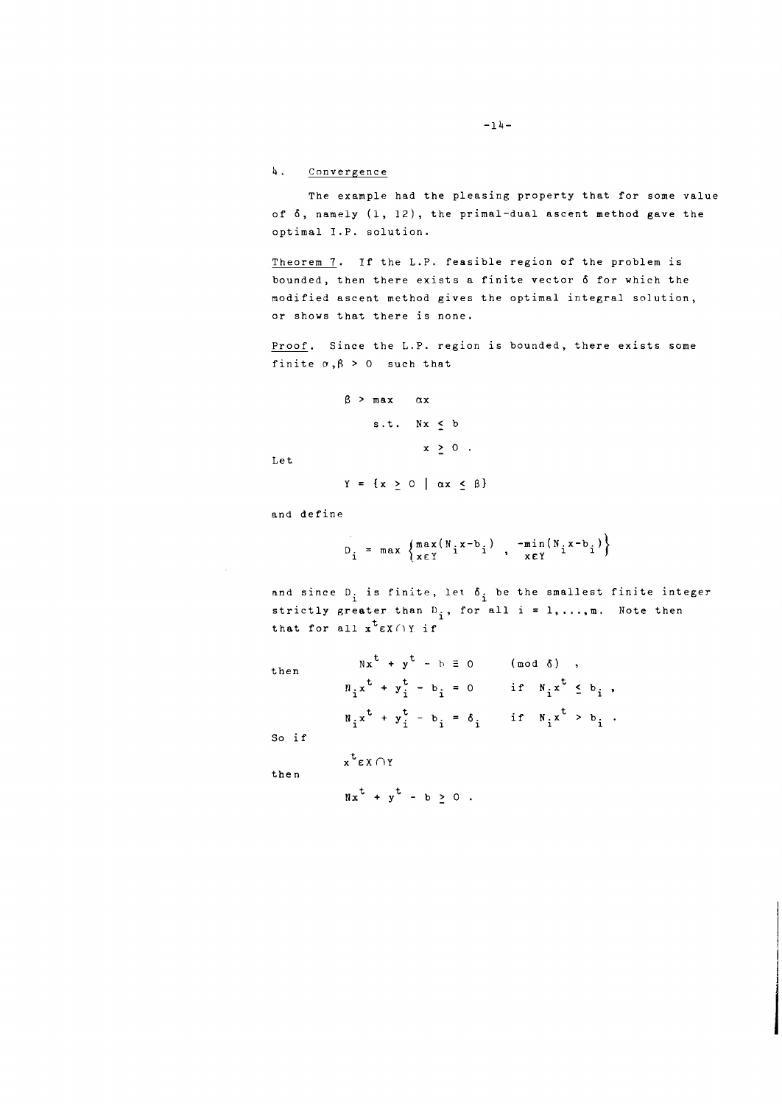## 4. Convergence

The example had the pleasing property that for some value of 6, namely (1, 12), the primal-dual ascent method gave the optimal I.P. solution.

Theorem 7. If the L.P. feasible region of the problem is bounded, then there exists a finite vector 6 for which the modified ascent method gives the optimal integral solution, or shows that there is none.

Proof. Since the L.P. region is bounded, there exists some finite  $\alpha, \beta > 0$  such that

$$
\beta > \max \quad \alpha x
$$
  
s.t.  $Nx \leq b$   
 $x \geq 0$ .

 $Y = \{x \ge 0 \mid \alpha x \le \beta\}$ 

and define

Let

$$
D_i = \max \left\{ \max_{x \in Y} (\sum_{i=1}^{n} x - b_i), \sum_{x \in Y} -\min_{i} (\sum_{i=1}^{n} x - b_i) \right\}
$$

and since  $D_i$  is finite, let  $\delta_i$  be the smallest finite integer strictly greater than  $D_i$ , for all i = 1,...,m. Note then that for all  $x^t \in X \cap Y$  if

$$
\mathtt{then}
$$

 $Nx^{t} + y^{t} - b \equiv 0$  (mod  $\delta$ ),

So if

 $x^t$ εχ $\cap$ γ

then

 $Nx^t + y^t - b \geq 0$ .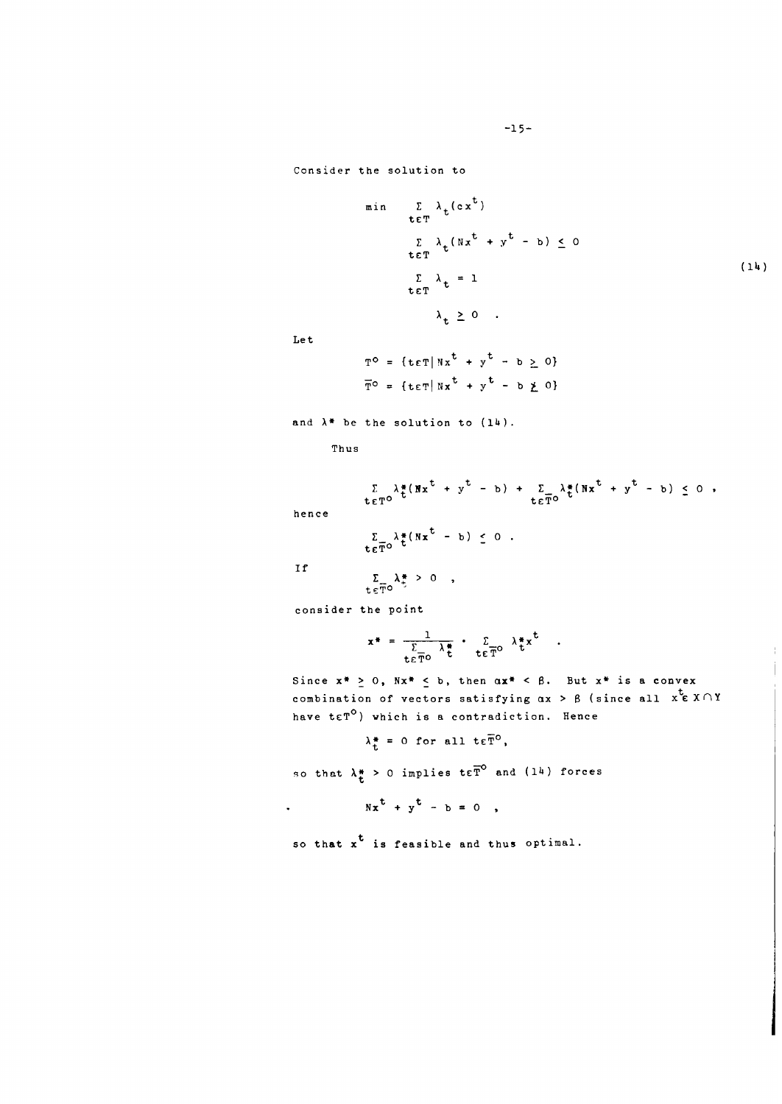Consider the solution to

$$
\lim_{t \in T} \frac{\sum_{t \in T} \lambda_t (c x^t)}{\sum_{t \in T} \lambda_t (N x^t + y^t - b)} \leq 0
$$
\n
$$
\lim_{t \in T} \frac{\sum_{t \in T} \lambda_t = 1}{\sum_{t \in T} \lambda_t \geq 0} \tag{14}
$$

Let

$$
T^{0} = \{t \in T | Nx^{t} + y^{t} - b \ge 0 \}
$$
  

$$
\overline{T}^{0} = \{t \in T | Nx^{t} + y^{t} - b \ge 0 \}
$$

and  $\lambda^*$  be the solution to  $(14)$ .

Thus

$$
\sum_{t \in T^0} \lambda_t^*(Nx^t + y^t - b) + \sum_{t \in T^0} \lambda_t^*(Nx^t + y^t - b) \leq 0,
$$

hence

$$
\sum_{t \in T^0} \lambda_t^*(\mathbf{N} \mathbf{x}^t - \mathbf{b}) \leq 0.
$$

If

$$
\Sigma_{\substack{\Sigma \subset \overline{T}^{\circ}}}\lambda_{\frac{\pi}{2}}^* > 0
$$

consider the point

$$
x^* = \frac{1}{\sum_{t \in \overline{T}^0} \lambda_t^*} \cdot \sum_{t \in \overline{T}^0} \lambda_t^* x^t \quad .
$$

Since  $x^* \ge 0$ ,  $Nx^* \le b$ , then  $ax^* < \beta$ . But  $x^*$  is a convex combination of vectors satisfying  $ax > \beta$  (since all  $x^t \in X \cap Y$ have  $teT^0$ ) which is a contradiction. Hence

 $\lambda_t^* = 0$  for all  $t \in \overline{T}^0$ ,

so that  $\lambda_t^*$  > 0 implies t $\epsilon$  T<sup>o</sup> and (14) forces

$$
Nx^t + y^t - b = 0 ,
$$

so that x<sup>t</sup> is feasible and thus optimal.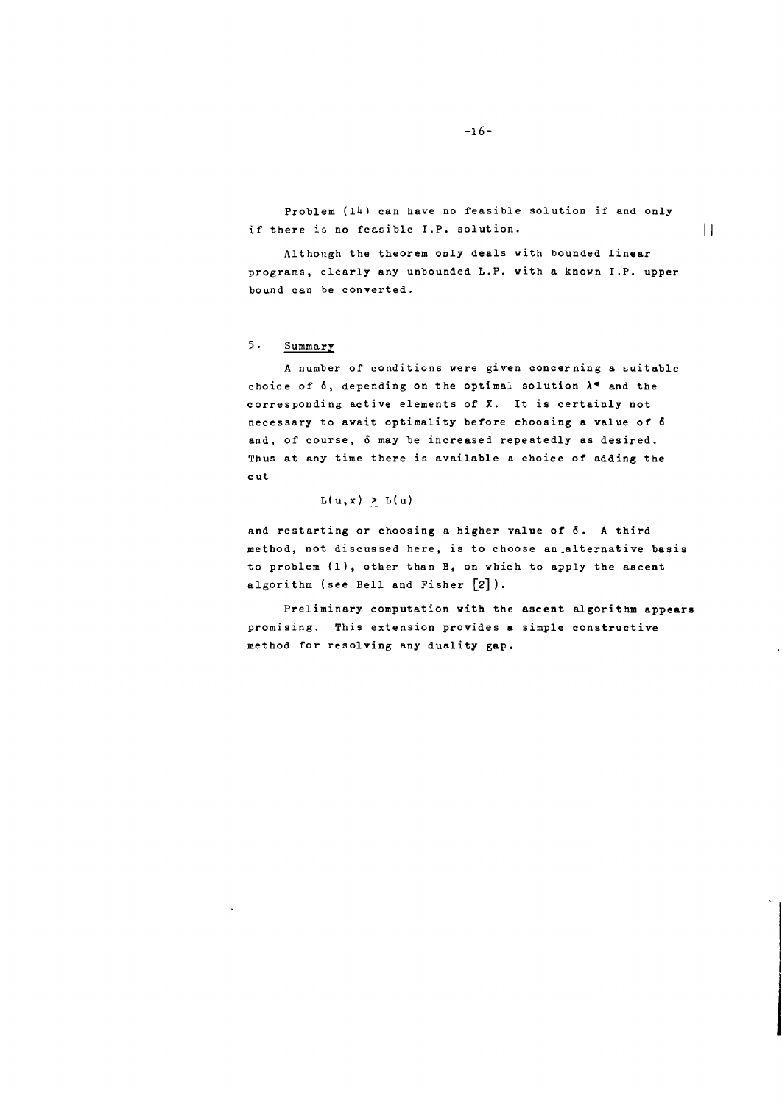Problem (14) can have no feasible solution if and only if there is no feasible I.P. solution.  $\vert \vert$ 

Althongh the theorem only deals with bounded linear programs, clearly any unbounded L.P. with a known **I.P.** upper bound can be converted.

### **5.** Summary

**A** number of conditions were given concerning a suitable choice of 6, depending on the optimal solution **Xf** and the corresponding active elements of X. It is certainly not necessary to await optimality before choosing a value of 6 and, of course, 6 may be increased repeatedly as desired. Thus at any time there is available a choice of adding the c ut

 $L(u, x) \geq L(u)$ 

and restarting or choosing a higher value of 6. **A** third method, not discussed here, is to choose an-alternative basis to problem (l), other than B, on which to apply the ascent algorithm (see Bell and Fisher **[2]** ).

Preliminary computation with the ascent algorithm appears promising. This extension provides a simple constructive method for resolving any duality gap.